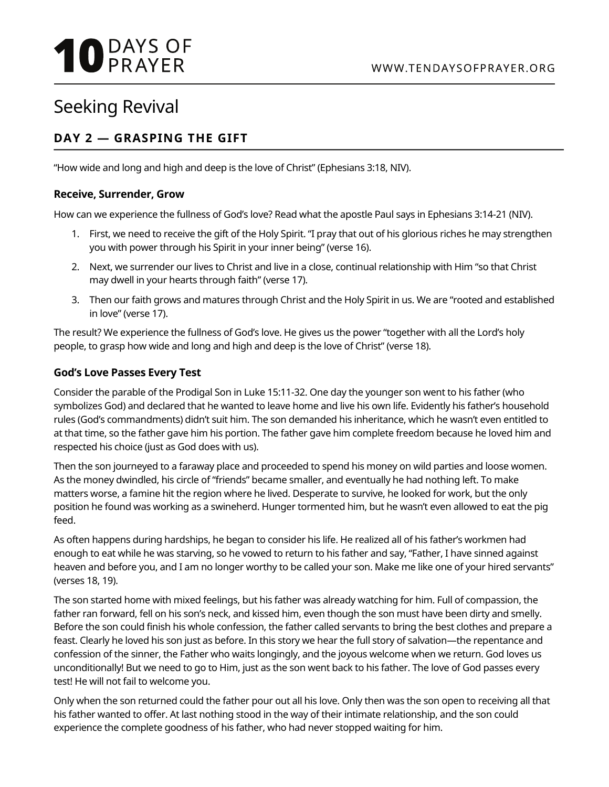# **10 DAYS OF**

## Seeking Revival

### **DAY 2 — GRASPING THE GIFT**

"How wide and long and high and deep is the love of Christ" (Ephesians 3:18, NIV).

#### **Receive, Surrender, Grow**

How can we experience the fullness of God's love? Read what the apostle Paul says in Ephesians 3:14-21 (NIV).

- 1. First, we need to receive the gift of the Holy Spirit. "I pray that out of his glorious riches he may strengthen you with power through his Spirit in your inner being" (verse 16).
- 2. Next, we surrender our lives to Christ and live in a close, continual relationship with Him "so that Christ may dwell in your hearts through faith" (verse 17).
- 3. Then our faith grows and matures through Christ and the Holy Spirit in us. We are "rooted and established in love" (verse 17).

The result? We experience the fullness of God's love. He gives us the power "together with all the Lord's holy people, to grasp how wide and long and high and deep is the love of Christ" (verse 18).

#### **God's Love Passes Every Test**

Consider the parable of the Prodigal Son in Luke 15:11-32. One day the younger son went to his father (who symbolizes God) and declared that he wanted to leave home and live his own life. Evidently his father's household rules (God's commandments) didn't suit him. The son demanded his inheritance, which he wasn't even entitled to at that time, so the father gave him his portion. The father gave him complete freedom because he loved him and respected his choice (just as God does with us).

Then the son journeyed to a faraway place and proceeded to spend his money on wild parties and loose women. As the money dwindled, his circle of "friends" became smaller, and eventually he had nothing left. To make matters worse, a famine hit the region where he lived. Desperate to survive, he looked for work, but the only position he found was working as a swineherd. Hunger tormented him, but he wasn't even allowed to eat the pig feed.

As often happens during hardships, he began to consider his life. He realized all of his father's workmen had enough to eat while he was starving, so he vowed to return to his father and say, "Father, I have sinned against heaven and before you, and I am no longer worthy to be called your son. Make me like one of your hired servants" (verses 18, 19).

The son started home with mixed feelings, but his father was already watching for him. Full of compassion, the father ran forward, fell on his son's neck, and kissed him, even though the son must have been dirty and smelly. Before the son could finish his whole confession, the father called servants to bring the best clothes and prepare a feast. Clearly he loved his son just as before. In this story we hear the full story of salvation—the repentance and confession of the sinner, the Father who waits longingly, and the joyous welcome when we return. God loves us unconditionally! But we need to go to Him, just as the son went back to his father. The love of God passes every test! He will not fail to welcome you.

Only when the son returned could the father pour out all his love. Only then was the son open to receiving all that his father wanted to offer. At last nothing stood in the way of their intimate relationship, and the son could experience the complete goodness of his father, who had never stopped waiting for him.